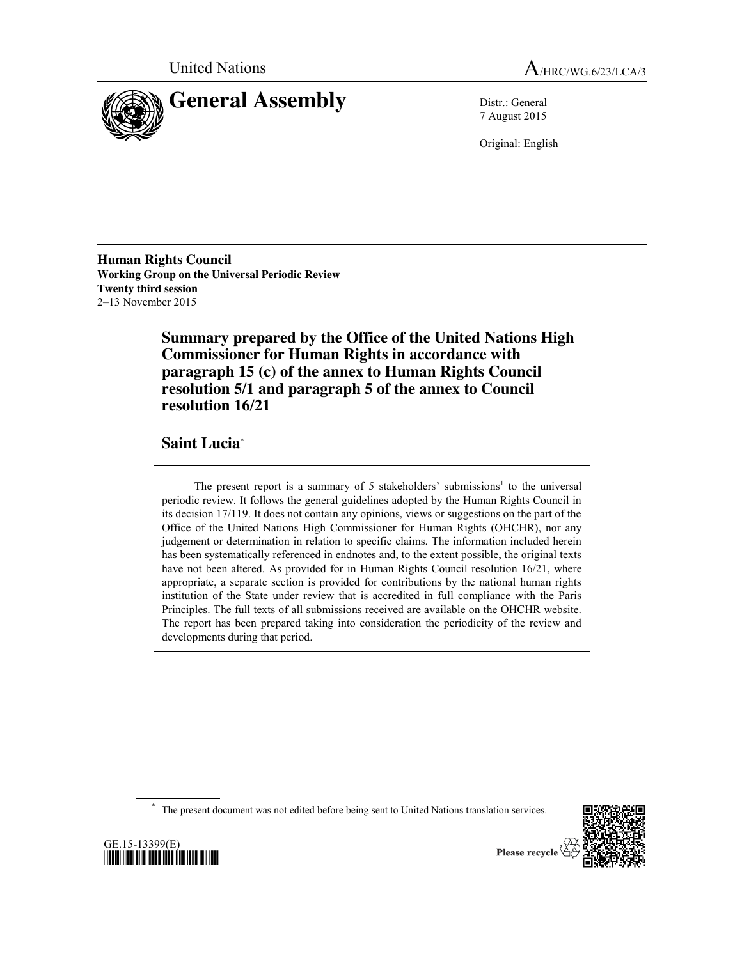



7 August 2015

Original: English

**Human Rights Council Working Group on the Universal Periodic Review Twenty third session** 2–13 November 2015

> **Summary prepared by the Office of the United Nations High Commissioner for Human Rights in accordance with paragraph 15 (c) of the annex to Human Rights Council resolution 5/1 and paragraph 5 of the annex to Council resolution 16/21**

**Saint Lucia**\*

The present report is a summary of 5 stakeholders' submissions<sup>1</sup> to the universal periodic review. It follows the general guidelines adopted by the Human Rights Council in its decision 17/119. It does not contain any opinions, views or suggestions on the part of the Office of the United Nations High Commissioner for Human Rights (OHCHR), nor any judgement or determination in relation to specific claims. The information included herein has been systematically referenced in endnotes and, to the extent possible, the original texts have not been altered. As provided for in Human Rights Council resolution 16/21, where appropriate, a separate section is provided for contributions by the national human rights institution of the State under review that is accredited in full compliance with the Paris Principles. The full texts of all submissions received are available on the OHCHR website. The report has been prepared taking into consideration the periodicity of the review and developments during that period.

The present document was not edited before being sent to United Nations translation services.



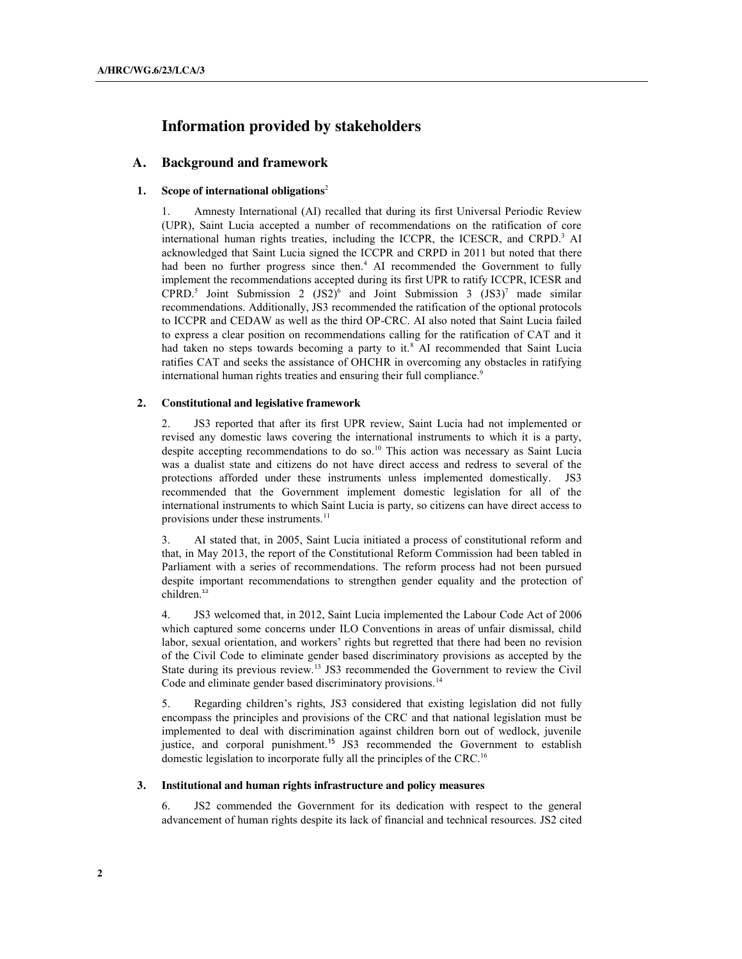# **Information provided by stakeholders**

### **A. Background and framework**

#### **1. Scope of international obligations** 2

1. Amnesty International (AI) recalled that during its first Universal Periodic Review (UPR), Saint Lucia accepted a number of recommendations on the ratification of core international human rights treaties, including the ICCPR, the ICESCR, and CRPD. <sup>3</sup> AI acknowledged that Saint Lucia signed the ICCPR and CRPD in 2011 but noted that there had been no further progress since then.<sup>4</sup> AI recommended the Government to fully implement the recommendations accepted during its first UPR to ratify ICCPR, ICESR and CPRD.<sup>5</sup> Joint Submission 2 (JS2)<sup>6</sup> and Joint Submission 3 (JS3)<sup>7</sup> made similar recommendations. Additionally, JS3 recommended the ratification of the optional protocols to ICCPR and CEDAW as well as the third OP-CRC. AI also noted that Saint Lucia failed to express a clear position on recommendations calling for the ratification of CAT and it had taken no steps towards becoming a party to it.<sup>8</sup> AI recommended that Saint Lucia ratifies CAT and seeks the assistance of OHCHR in overcoming any obstacles in ratifying international human rights treaties and ensuring their full compliance.<sup>9</sup>

#### **2. Constitutional and legislative framework**

2. JS3 reported that after its first UPR review, Saint Lucia had not implemented or revised any domestic laws covering the international instruments to which it is a party, despite accepting recommendations to do so.<sup>10</sup> This action was necessary as Saint Lucia was a dualist state and citizens do not have direct access and redress to several of the protections afforded under these instruments unless implemented domestically. JS3 recommended that the Government implement domestic legislation for all of the international instruments to which Saint Lucia is party, so citizens can have direct access to provisions under these instruments.<sup>11</sup>

3. AI stated that, in 2005, Saint Lucia initiated a process of constitutional reform and that, in May 2013, the report of the Constitutional Reform Commission had been tabled in Parliament with a series of recommendations. The reform process had not been pursued despite important recommendations to strengthen gender equality and the protection of children. 12

4. JS3 welcomed that, in 2012, Saint Lucia implemented the Labour Code Act of 2006 which captured some concerns under ILO Conventions in areas of unfair dismissal, child labor, sexual orientation, and workers' rights but regretted that there had been no revision of the Civil Code to eliminate gender based discriminatory provisions as accepted by the State during its previous review.<sup>13</sup> JS3 recommended the Government to review the Civil Code and eliminate gender based discriminatory provisions.<sup>14</sup>

5. Regarding children's rights, JS3 considered that existing legislation did not fully encompass the principles and provisions of the CRC and that national legislation must be implemented to deal with discrimination against children born out of wedlock, juvenile justice, and corporal punishment.<sup>15</sup> JS3 recommended the Government to establish domestic legislation to incorporate fully all the principles of the CRC. 16

#### **3. Institutional and human rights infrastructure and policy measures**

6. JS2 commended the Government for its dedication with respect to the general advancement of human rights despite its lack of financial and technical resources. JS2 cited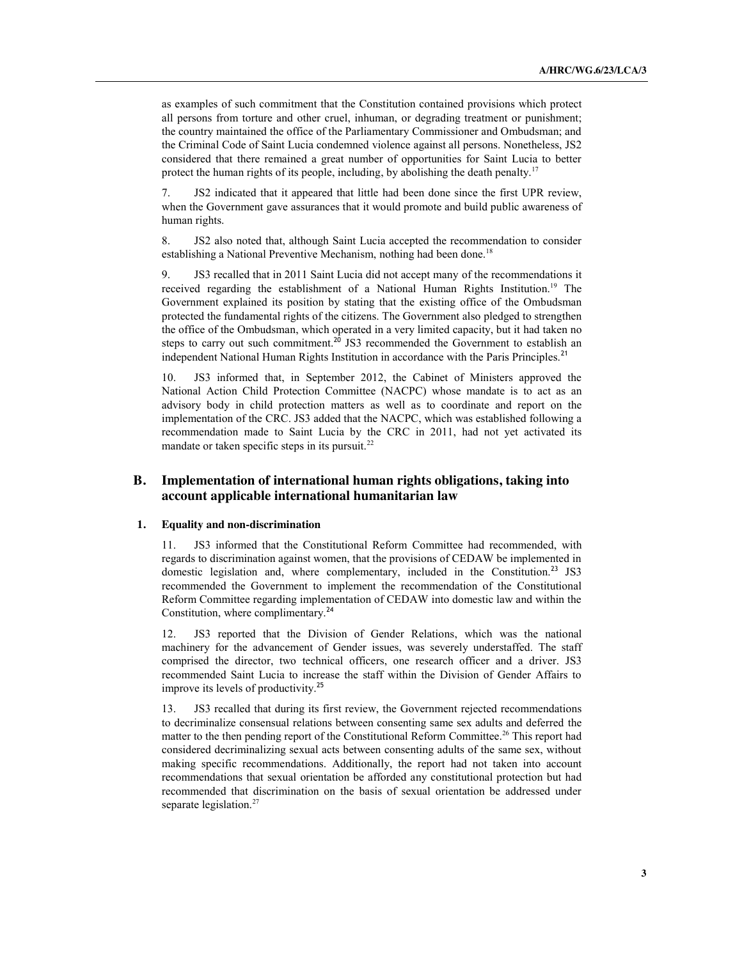as examples of such commitment that the Constitution contained provisions which protect all persons from torture and other cruel, inhuman, or degrading treatment or punishment; the country maintained the office of the Parliamentary Commissioner and Ombudsman; and the Criminal Code of Saint Lucia condemned violence against all persons. Nonetheless, JS2 considered that there remained a great number of opportunities for Saint Lucia to better protect the human rights of its people, including, by abolishing the death penalty.<sup>17</sup>

7. JS2 indicated that it appeared that little had been done since the first UPR review, when the Government gave assurances that it would promote and build public awareness of human rights.

8. JS2 also noted that, although Saint Lucia accepted the recommendation to consider establishing a National Preventive Mechanism, nothing had been done.<sup>18</sup>

9. JS3 recalled that in 2011 Saint Lucia did not accept many of the recommendations it received regarding the establishment of a National Human Rights Institution.<sup>19</sup> The Government explained its position by stating that the existing office of the Ombudsman protected the fundamental rights of the citizens. The Government also pledged to strengthen the office of the Ombudsman, which operated in a very limited capacity, but it had taken no steps to carry out such commitment.<sup>20</sup> JS3 recommended the Government to establish an independent National Human Rights Institution in accordance with the Paris Principles.<sup>21</sup>

10. JS3 informed that, in September 2012, the Cabinet of Ministers approved the National Action Child Protection Committee (NACPC) whose mandate is to act as an advisory body in child protection matters as well as to coordinate and report on the implementation of the CRC. JS3 added that the NACPC, which was established following a recommendation made to Saint Lucia by the CRC in 2011, had not yet activated its mandate or taken specific steps in its pursuit.<sup>22</sup>

### **B. Implementation of international human rights obligations, taking into account applicable international humanitarian law**

#### **1. Equality and non-discrimination**

11. JS3 informed that the Constitutional Reform Committee had recommended, with regards to discrimination against women, that the provisions of CEDAW be implemented in domestic legislation and, where complementary, included in the Constitution.<sup>23</sup> JS3 recommended the Government to implement the recommendation of the Constitutional Reform Committee regarding implementation of CEDAW into domestic law and within the Constitution, where complimentary.<sup>24</sup>

12. JS3 reported that the Division of Gender Relations, which was the national machinery for the advancement of Gender issues, was severely understaffed. The staff comprised the director, two technical officers, one research officer and a driver. JS3 recommended Saint Lucia to increase the staff within the Division of Gender Affairs to improve its levels of productivity.<sup>25</sup>

13. JS3 recalled that during its first review, the Government rejected recommendations to decriminalize consensual relations between consenting same sex adults and deferred the matter to the then pending report of the Constitutional Reform Committee.<sup>26</sup> This report had considered decriminalizing sexual acts between consenting adults of the same sex, without making specific recommendations. Additionally, the report had not taken into account recommendations that sexual orientation be afforded any constitutional protection but had recommended that discrimination on the basis of sexual orientation be addressed under separate legislation.<sup>27</sup>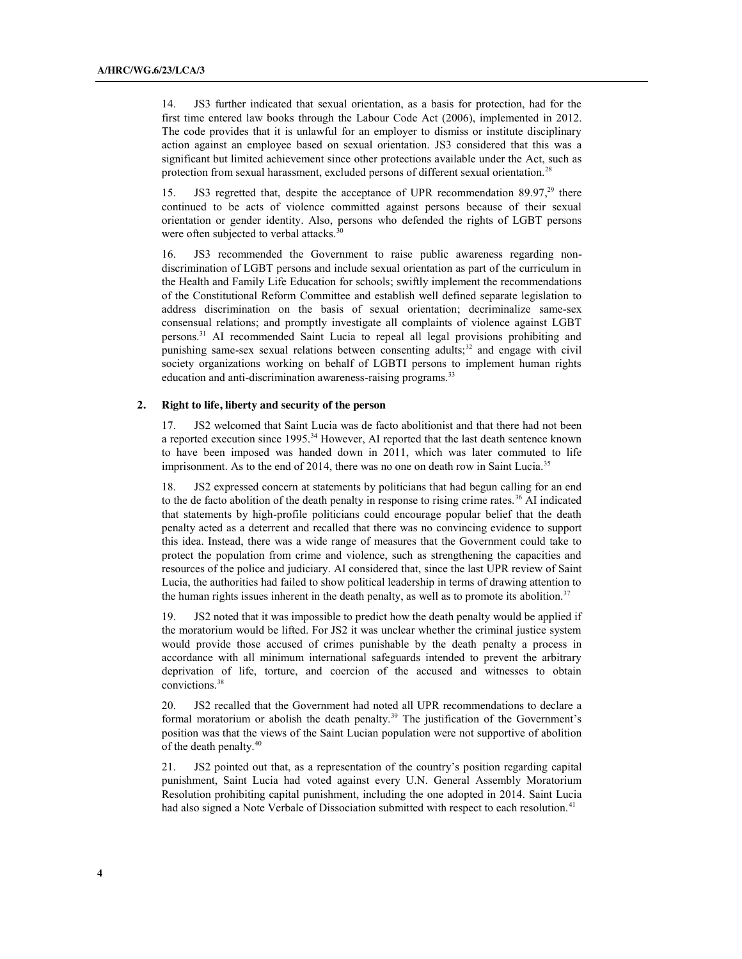14. JS3 further indicated that sexual orientation, as a basis for protection, had for the first time entered law books through the Labour Code Act (2006), implemented in 2012. The code provides that it is unlawful for an employer to dismiss or institute disciplinary action against an employee based on sexual orientation. JS3 considered that this was a significant but limited achievement since other protections available under the Act, such as protection from sexual harassment, excluded persons of different sexual orientation.28

15. JS3 regretted that, despite the acceptance of UPR recommendation 89.97,<sup>29</sup> there continued to be acts of violence committed against persons because of their sexual orientation or gender identity. Also, persons who defended the rights of LGBT persons were often subjected to verbal attacks.<sup>30</sup>

16. JS3 recommended the Government to raise public awareness regarding nondiscrimination of LGBT persons and include sexual orientation as part of the curriculum in the Health and Family Life Education for schools; swiftly implement the recommendations of the Constitutional Reform Committee and establish well defined separate legislation to address discrimination on the basis of sexual orientation; decriminalize same-sex consensual relations; and promptly investigate all complaints of violence against LGBT persons.31 AI recommended Saint Lucia to repeal all legal provisions prohibiting and punishing same-sex sexual relations between consenting adults; $32$  and engage with civil society organizations working on behalf of LGBTI persons to implement human rights education and anti-discrimination awareness-raising programs.<sup>33</sup>

#### **2. Right to life, liberty and security of the person**

17. JS2 welcomed that Saint Lucia was de facto abolitionist and that there had not been a reported execution since 1995.<sup>34</sup> However, AI reported that the last death sentence known to have been imposed was handed down in 2011, which was later commuted to life imprisonment. As to the end of 2014, there was no one on death row in Saint Lucia.<sup>35</sup>

18. JS2 expressed concern at statements by politicians that had begun calling for an end to the de facto abolition of the death penalty in response to rising crime rates.<sup>36</sup> AI indicated that statements by high-profile politicians could encourage popular belief that the death penalty acted as a deterrent and recalled that there was no convincing evidence to support this idea. Instead, there was a wide range of measures that the Government could take to protect the population from crime and violence, such as strengthening the capacities and resources of the police and judiciary. AI considered that, since the last UPR review of Saint Lucia, the authorities had failed to show political leadership in terms of drawing attention to the human rights issues inherent in the death penalty, as well as to promote its abolition.<sup>37</sup>

19. JS2 noted that it was impossible to predict how the death penalty would be applied if the moratorium would be lifted. For JS2 it was unclear whether the criminal justice system would provide those accused of crimes punishable by the death penalty a process in accordance with all minimum international safeguards intended to prevent the arbitrary deprivation of life, torture, and coercion of the accused and witnesses to obtain convictions.38

20. JS2 recalled that the Government had noted all UPR recommendations to declare a formal moratorium or abolish the death penalty.<sup>39</sup> The justification of the Government's position was that the views of the Saint Lucian population were not supportive of abolition of the death penalty.40

21. JS2 pointed out that, as a representation of the country's position regarding capital punishment, Saint Lucia had voted against every U.N. General Assembly Moratorium Resolution prohibiting capital punishment, including the one adopted in 2014. Saint Lucia had also signed a Note Verbale of Dissociation submitted with respect to each resolution.<sup>41</sup>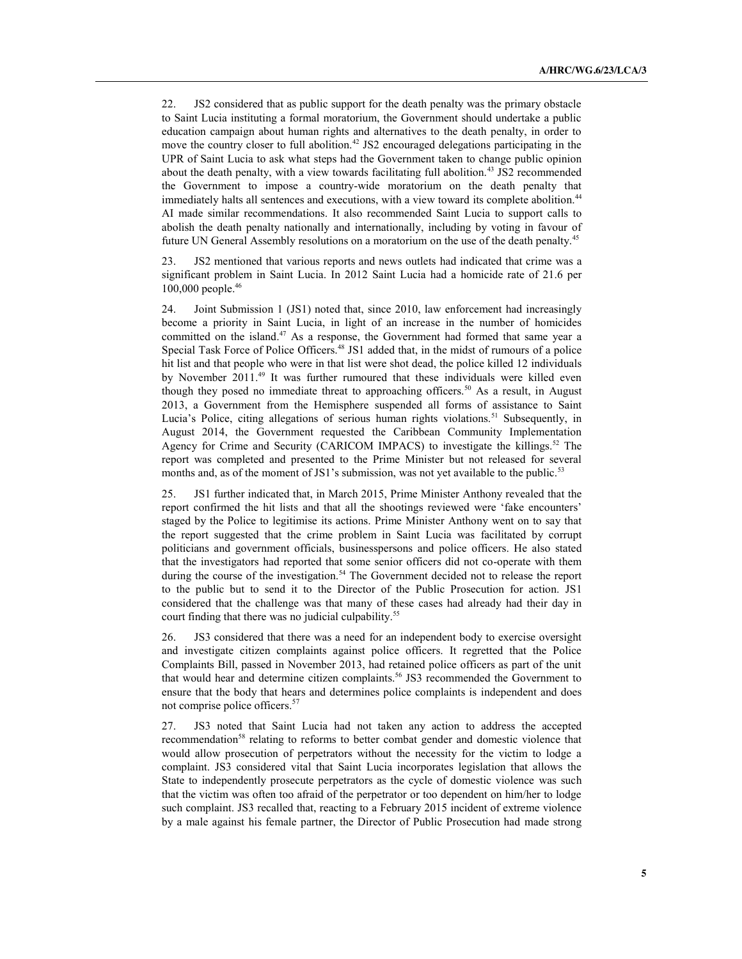22. JS2 considered that as public support for the death penalty was the primary obstacle to Saint Lucia instituting a formal moratorium, the Government should undertake a public education campaign about human rights and alternatives to the death penalty, in order to move the country closer to full abolition.<sup>42</sup> JS2 encouraged delegations participating in the UPR of Saint Lucia to ask what steps had the Government taken to change public opinion about the death penalty, with a view towards facilitating full abolition.<sup>43</sup> JS2 recommended the Government to impose a country-wide moratorium on the death penalty that immediately halts all sentences and executions, with a view toward its complete abolition.<sup>44</sup> AI made similar recommendations. It also recommended Saint Lucia to support calls to abolish the death penalty nationally and internationally, including by voting in favour of future UN General Assembly resolutions on a moratorium on the use of the death penalty.45

23. JS2 mentioned that various reports and news outlets had indicated that crime was a significant problem in Saint Lucia. In 2012 Saint Lucia had a homicide rate of 21.6 per 100,000 people. 46

24. Joint Submission 1 (JS1) noted that, since 2010, law enforcement had increasingly become a priority in Saint Lucia, in light of an increase in the number of homicides committed on the island. <sup>47</sup> As a response, the Government had formed that same year a Special Task Force of Police Officers.<sup>48</sup> JS1 added that, in the midst of rumours of a police hit list and that people who were in that list were shot dead, the police killed 12 individuals by November 2011. <sup>49</sup> It was further rumoured that these individuals were killed even though they posed no immediate threat to approaching officers.<sup>50</sup> As a result, in August 2013, a Government from the Hemisphere suspended all forms of assistance to Saint Lucia's Police, citing allegations of serious human rights violations.<sup>51</sup> Subsequently, in August 2014, the Government requested the Caribbean Community Implementation Agency for Crime and Security (CARICOM IMPACS) to investigate the killings.<sup>52</sup> The report was completed and presented to the Prime Minister but not released for several months and, as of the moment of JS1's submission, was not yet available to the public.<sup>53</sup>

25. JS1 further indicated that, in March 2015, Prime Minister Anthony revealed that the report confirmed the hit lists and that all the shootings reviewed were 'fake encounters' staged by the Police to legitimise its actions. Prime Minister Anthony went on to say that the report suggested that the crime problem in Saint Lucia was facilitated by corrupt politicians and government officials, businesspersons and police officers. He also stated that the investigators had reported that some senior officers did not co-operate with them during the course of the investigation.<sup>54</sup> The Government decided not to release the report to the public but to send it to the Director of the Public Prosecution for action. JS1 considered that the challenge was that many of these cases had already had their day in court finding that there was no judicial culpability.<sup>55</sup>

26. JS3 considered that there was a need for an independent body to exercise oversight and investigate citizen complaints against police officers. It regretted that the Police Complaints Bill, passed in November 2013, had retained police officers as part of the unit that would hear and determine citizen complaints.<sup>56</sup> JS3 recommended the Government to ensure that the body that hears and determines police complaints is independent and does not comprise police officers.<sup>57</sup>

27. JS3 noted that Saint Lucia had not taken any action to address the accepted recommendation<sup>58</sup> relating to reforms to better combat gender and domestic violence that would allow prosecution of perpetrators without the necessity for the victim to lodge a complaint. JS3 considered vital that Saint Lucia incorporates legislation that allows the State to independently prosecute perpetrators as the cycle of domestic violence was such that the victim was often too afraid of the perpetrator or too dependent on him/her to lodge such complaint. JS3 recalled that, reacting to a February 2015 incident of extreme violence by a male against his female partner, the Director of Public Prosecution had made strong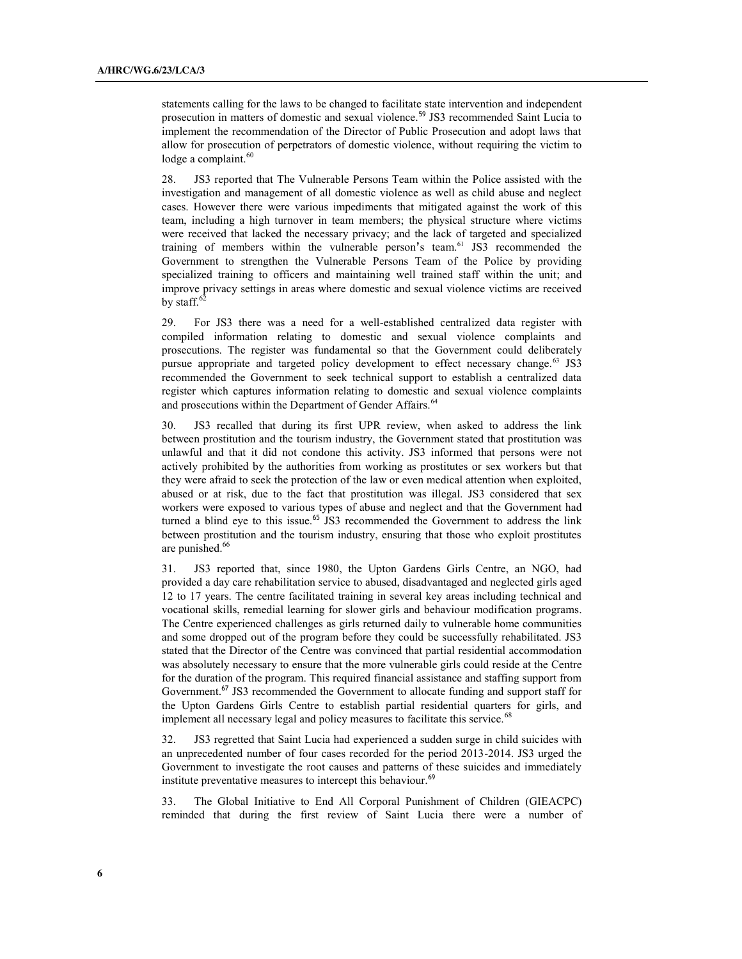statements calling for the laws to be changed to facilitate state intervention and independent prosecution in matters of domestic and sexual violence.<sup>59</sup> JS3 recommended Saint Lucia to implement the recommendation of the Director of Public Prosecution and adopt laws that allow for prosecution of perpetrators of domestic violence, without requiring the victim to lodge a complaint.<sup>60</sup>

28. JS3 reported that The Vulnerable Persons Team within the Police assisted with the investigation and management of all domestic violence as well as child abuse and neglect cases. However there were various impediments that mitigated against the work of this team, including a high turnover in team members; the physical structure where victims were received that lacked the necessary privacy; and the lack of targeted and specialized training of members within the vulnerable person's team.<sup>61</sup> JS3 recommended the Government to strengthen the Vulnerable Persons Team of the Police by providing specialized training to officers and maintaining well trained staff within the unit; and improve privacy settings in areas where domestic and sexual violence victims are received by staff.<sup>6</sup>

29. For JS3 there was a need for a well-established centralized data register with compiled information relating to domestic and sexual violence complaints and prosecutions. The register was fundamental so that the Government could deliberately pursue appropriate and targeted policy development to effect necessary change.<sup>63</sup> JS3 recommended the Government to seek technical support to establish a centralized data register which captures information relating to domestic and sexual violence complaints and prosecutions within the Department of Gender Affairs.<sup>64</sup>

30. JS3 recalled that during its first UPR review, when asked to address the link between prostitution and the tourism industry, the Government stated that prostitution was unlawful and that it did not condone this activity. JS3 informed that persons were not actively prohibited by the authorities from working as prostitutes or sex workers but that they were afraid to seek the protection of the law or even medical attention when exploited, abused or at risk, due to the fact that prostitution was illegal. JS3 considered that sex workers were exposed to various types of abuse and neglect and that the Government had turned a blind eye to this issue.<sup>65</sup> JS3 recommended the Government to address the link between prostitution and the tourism industry, ensuring that those who exploit prostitutes are punished.<sup>66</sup>

31. JS3 reported that, since 1980, the Upton Gardens Girls Centre, an NGO, had provided a day care rehabilitation service to abused, disadvantaged and neglected girls aged 12 to 17 years. The centre facilitated training in several key areas including technical and vocational skills, remedial learning for slower girls and behaviour modification programs. The Centre experienced challenges as girls returned daily to vulnerable home communities and some dropped out of the program before they could be successfully rehabilitated. JS3 stated that the Director of the Centre was convinced that partial residential accommodation was absolutely necessary to ensure that the more vulnerable girls could reside at the Centre for the duration of the program. This required financial assistance and staffing support from Government.<sup>67</sup> JS3 recommended the Government to allocate funding and support staff for the Upton Gardens Girls Centre to establish partial residential quarters for girls, and implement all necessary legal and policy measures to facilitate this service.<sup>68</sup>

32. JS3 regretted that Saint Lucia had experienced a sudden surge in child suicides with an unprecedented number of four cases recorded for the period 2013-2014. JS3 urged the Government to investigate the root causes and patterns of these suicides and immediately institute preventative measures to intercept this behaviour.<sup>69</sup>

33. The Global Initiative to End All Corporal Punishment of Children (GIEACPC) reminded that during the first review of Saint Lucia there were a number of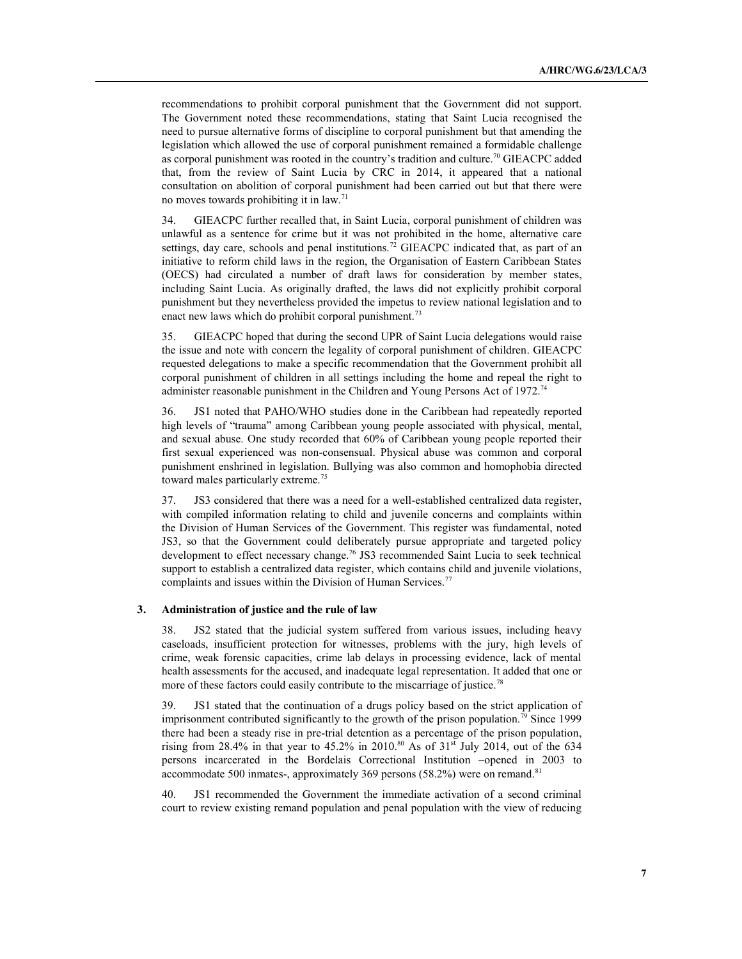recommendations to prohibit corporal punishment that the Government did not support. The Government noted these recommendations, stating that Saint Lucia recognised the need to pursue alternative forms of discipline to corporal punishment but that amending the legislation which allowed the use of corporal punishment remained a formidable challenge as corporal punishment was rooted in the country's tradition and culture.<sup>70</sup> GIEACPC added that, from the review of Saint Lucia by CRC in 2014, it appeared that a national consultation on abolition of corporal punishment had been carried out but that there were no moves towards prohibiting it in law.71

34. GIEACPC further recalled that, in Saint Lucia, corporal punishment of children was unlawful as a sentence for crime but it was not prohibited in the home, alternative care settings, day care, schools and penal institutions.<sup>72</sup> GIEACPC indicated that, as part of an initiative to reform child laws in the region, the Organisation of Eastern Caribbean States (OECS) had circulated a number of draft laws for consideration by member states, including Saint Lucia. As originally drafted, the laws did not explicitly prohibit corporal punishment but they nevertheless provided the impetus to review national legislation and to enact new laws which do prohibit corporal punishment.<sup>73</sup>

35. GIEACPC hoped that during the second UPR of Saint Lucia delegations would raise the issue and note with concern the legality of corporal punishment of children. GIEACPC requested delegations to make a specific recommendation that the Government prohibit all corporal punishment of children in all settings including the home and repeal the right to administer reasonable punishment in the Children and Young Persons Act of 1972.74

36. JS1 noted that PAHO/WHO studies done in the Caribbean had repeatedly reported high levels of "trauma" among Caribbean young people associated with physical, mental, and sexual abuse. One study recorded that 60% of Caribbean young people reported their first sexual experienced was non-consensual. Physical abuse was common and corporal punishment enshrined in legislation. Bullying was also common and homophobia directed toward males particularly extreme.<sup>75</sup>

37. JS3 considered that there was a need for a well-established centralized data register, with compiled information relating to child and juvenile concerns and complaints within the Division of Human Services of the Government. This register was fundamental, noted JS3, so that the Government could deliberately pursue appropriate and targeted policy development to effect necessary change.<sup>76</sup> JS3 recommended Saint Lucia to seek technical support to establish a centralized data register, which contains child and juvenile violations, complaints and issues within the Division of Human Services.<sup>77</sup>

#### **3. Administration of justice and the rule of law**

38. JS2 stated that the judicial system suffered from various issues, including heavy caseloads, insufficient protection for witnesses, problems with the jury, high levels of crime, weak forensic capacities, crime lab delays in processing evidence, lack of mental health assessments for the accused, and inadequate legal representation. It added that one or more of these factors could easily contribute to the miscarriage of justice.<sup>78</sup>

39. JS1 stated that the continuation of a drugs policy based on the strict application of imprisonment contributed significantly to the growth of the prison population.<sup>79</sup> Since 1999 there had been a steady rise in pre-trial detention as a percentage of the prison population, rising from 28.4% in that year to 45.2% in 2010.<sup>80</sup> As of  $31<sup>st</sup>$  July 2014, out of the 634 persons incarcerated in the Bordelais Correctional Institution –opened in 2003 to accommodate 500 inmates-, approximately 369 persons (58.2%) were on remand.<sup>81</sup>

40. JS1 recommended the Government the immediate activation of a second criminal court to review existing remand population and penal population with the view of reducing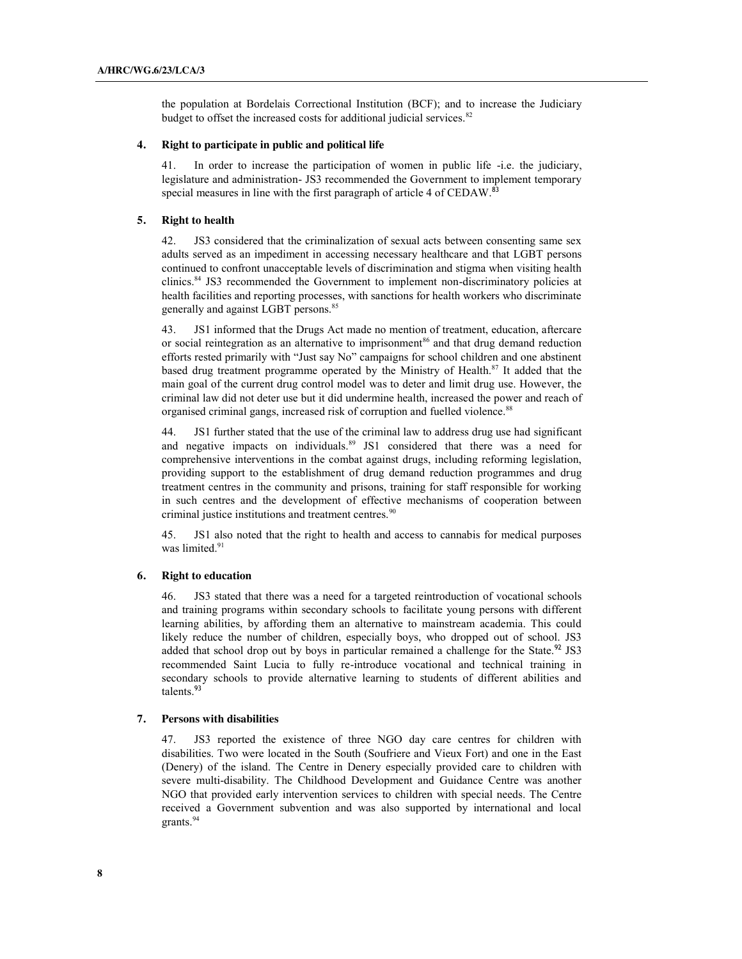the population at Bordelais Correctional Institution (BCF); and to increase the Judiciary budget to offset the increased costs for additional judicial services.<sup>82</sup>

#### **4. Right to participate in public and political life**

41. In order to increase the participation of women in public life -i.e. the judiciary, legislature and administration- JS3 recommended the Government to implement temporary special measures in line with the first paragraph of article 4 of CEDAW.<sup>83</sup>

#### **5. Right to health**

42. JS3 considered that the criminalization of sexual acts between consenting same sex adults served as an impediment in accessing necessary healthcare and that LGBT persons continued to confront unacceptable levels of discrimination and stigma when visiting health clinics.84 JS3 recommended the Government to implement non-discriminatory policies at health facilities and reporting processes, with sanctions for health workers who discriminate generally and against LGBT persons.<sup>85</sup>

JS1 informed that the Drugs Act made no mention of treatment, education, aftercare or social reintegration as an alternative to imprisonment<sup>86</sup> and that drug demand reduction efforts rested primarily with "Just say No" campaigns for school children and one abstinent based drug treatment programme operated by the Ministry of Health.<sup>87</sup> It added that the main goal of the current drug control model was to deter and limit drug use. However, the criminal law did not deter use but it did undermine health, increased the power and reach of organised criminal gangs, increased risk of corruption and fuelled violence.<sup>88</sup>

44. JS1 further stated that the use of the criminal law to address drug use had significant and negative impacts on individuals.<sup>89</sup> JS1 considered that there was a need for comprehensive interventions in the combat against drugs, including reforming legislation, providing support to the establishment of drug demand reduction programmes and drug treatment centres in the community and prisons, training for staff responsible for working in such centres and the development of effective mechanisms of cooperation between criminal justice institutions and treatment centres.<sup>90</sup>

45. JS1 also noted that the right to health and access to cannabis for medical purposes was limited.<sup>91</sup>

#### **6. Right to education**

46. JS3 stated that there was a need for a targeted reintroduction of vocational schools and training programs within secondary schools to facilitate young persons with different learning abilities, by affording them an alternative to mainstream academia. This could likely reduce the number of children, especially boys, who dropped out of school. JS3 added that school drop out by boys in particular remained a challenge for the State.<sup>92</sup> JS3 recommended Saint Lucia to fully re-introduce vocational and technical training in secondary schools to provide alternative learning to students of different abilities and talents.<sup>93</sup>

#### **7. Persons with disabilities**

47. JS3 reported the existence of three NGO day care centres for children with disabilities. Two were located in the South (Soufriere and Vieux Fort) and one in the East (Denery) of the island. The Centre in Denery especially provided care to children with severe multi-disability. The Childhood Development and Guidance Centre was another NGO that provided early intervention services to children with special needs. The Centre received a Government subvention and was also supported by international and local grants.<sup>94</sup>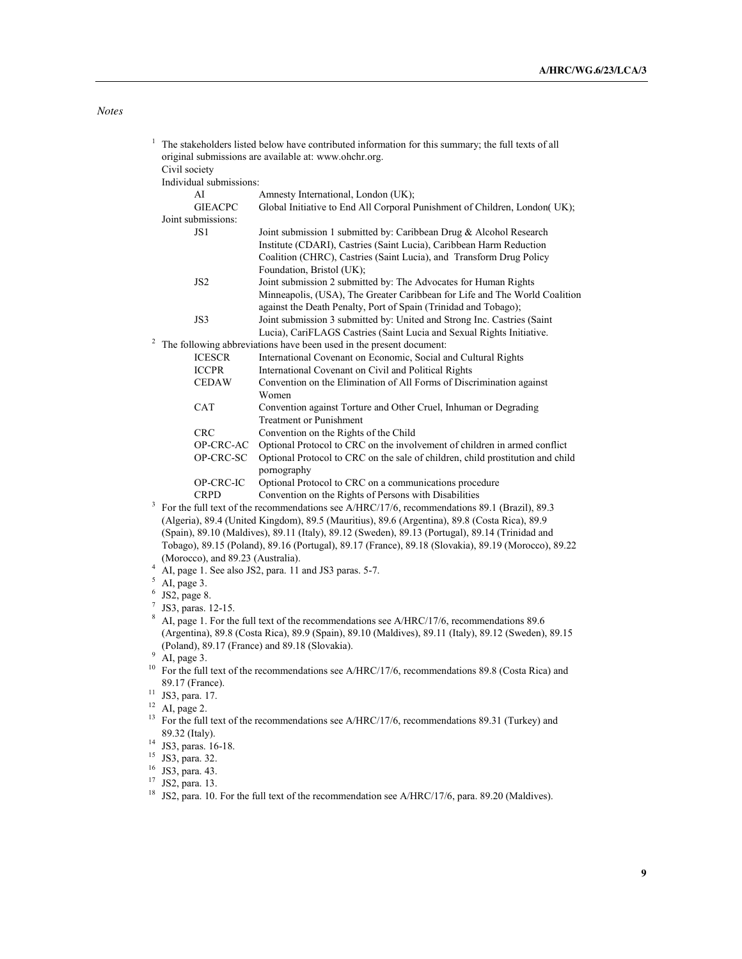## *Notes*

| 1  | The stakeholders listed below have contributed information for this summary; the full texts of all<br>original submissions are available at: www.ohchr.org. |                                                                                                                                                       |
|----|-------------------------------------------------------------------------------------------------------------------------------------------------------------|-------------------------------------------------------------------------------------------------------------------------------------------------------|
|    | Civil society                                                                                                                                               |                                                                                                                                                       |
|    | Individual submissions:                                                                                                                                     |                                                                                                                                                       |
|    | AI                                                                                                                                                          | Amnesty International, London (UK);                                                                                                                   |
|    | <b>GIEACPC</b>                                                                                                                                              | Global Initiative to End All Corporal Punishment of Children, London(UK);                                                                             |
|    | Joint submissions:                                                                                                                                          |                                                                                                                                                       |
|    | JS1                                                                                                                                                         | Joint submission 1 submitted by: Caribbean Drug & Alcohol Research                                                                                    |
|    |                                                                                                                                                             | Institute (CDARI), Castries (Saint Lucia), Caribbean Harm Reduction                                                                                   |
|    |                                                                                                                                                             | Coalition (CHRC), Castries (Saint Lucia), and Transform Drug Policy                                                                                   |
|    |                                                                                                                                                             | Foundation, Bristol (UK);                                                                                                                             |
|    | JS <sub>2</sub>                                                                                                                                             | Joint submission 2 submitted by: The Advocates for Human Rights                                                                                       |
|    |                                                                                                                                                             | Minneapolis, (USA), The Greater Caribbean for Life and The World Coalition                                                                            |
|    |                                                                                                                                                             | against the Death Penalty, Port of Spain (Trinidad and Tobago);                                                                                       |
|    | JS3                                                                                                                                                         | Joint submission 3 submitted by: United and Strong Inc. Castries (Saint                                                                               |
|    |                                                                                                                                                             | Lucia), CariFLAGS Castries (Saint Lucia and Sexual Rights Initiative.                                                                                 |
|    | The following abbreviations have been used in the present document:                                                                                         |                                                                                                                                                       |
|    | <b>ICESCR</b>                                                                                                                                               | International Covenant on Economic, Social and Cultural Rights                                                                                        |
|    | <b>ICCPR</b>                                                                                                                                                | International Covenant on Civil and Political Rights                                                                                                  |
|    | <b>CEDAW</b>                                                                                                                                                | Convention on the Elimination of All Forms of Discrimination against                                                                                  |
|    |                                                                                                                                                             | Women                                                                                                                                                 |
|    | CAT                                                                                                                                                         | Convention against Torture and Other Cruel, Inhuman or Degrading                                                                                      |
|    |                                                                                                                                                             | <b>Treatment or Punishment</b>                                                                                                                        |
|    | <b>CRC</b>                                                                                                                                                  | Convention on the Rights of the Child                                                                                                                 |
|    | OP-CRC-AC                                                                                                                                                   | Optional Protocol to CRC on the involvement of children in armed conflict                                                                             |
|    | OP-CRC-SC                                                                                                                                                   | Optional Protocol to CRC on the sale of children, child prostitution and child                                                                        |
|    |                                                                                                                                                             | pornography<br>Optional Protocol to CRC on a communications procedure                                                                                 |
|    | OP-CRC-IC<br><b>CRPD</b>                                                                                                                                    |                                                                                                                                                       |
| 3  |                                                                                                                                                             | Convention on the Rights of Persons with Disabilities<br>For the full text of the recommendations see A/HRC/17/6, recommendations 89.1 (Brazil), 89.3 |
|    | (Algeria), 89.4 (United Kingdom), 89.5 (Mauritius), 89.6 (Argentina), 89.8 (Costa Rica), 89.9                                                               |                                                                                                                                                       |
|    |                                                                                                                                                             | (Spain), 89.10 (Maldives), 89.11 (Italy), 89.12 (Sweden), 89.13 (Portugal), 89.14 (Trinidad and                                                       |
|    |                                                                                                                                                             | Tobago), 89.15 (Poland), 89.16 (Portugal), 89.17 (France), 89.18 (Slovakia), 89.19 (Morocco), 89.22                                                   |
|    | (Morocco), and 89.23 (Australia).                                                                                                                           |                                                                                                                                                       |
| 4  | AI, page 1. See also JS2, para. 11 and JS3 paras. 5-7.                                                                                                      |                                                                                                                                                       |
| 5  | AI, page 3.                                                                                                                                                 |                                                                                                                                                       |
| 6  | JS2, page 8.                                                                                                                                                |                                                                                                                                                       |
| 7  | JS3, paras. 12-15.                                                                                                                                          |                                                                                                                                                       |
| 8  | AI, page 1. For the full text of the recommendations see A/HRC/17/6, recommendations 89.6                                                                   |                                                                                                                                                       |
|    | (Argentina), 89.8 (Costa Rica), 89.9 (Spain), 89.10 (Maldives), 89.11 (Italy), 89.12 (Sweden), 89.15                                                        |                                                                                                                                                       |
|    | (Poland), 89.17 (France) and 89.18 (Slovakia).                                                                                                              |                                                                                                                                                       |
| 9  | AI, page 3.                                                                                                                                                 |                                                                                                                                                       |
| 10 |                                                                                                                                                             | For the full text of the recommendations see A/HRC/17/6, recommendations 89.8 (Costa Rica) and                                                        |
|    | 89.17 (France).                                                                                                                                             |                                                                                                                                                       |
| 11 | JS3, para. 17.                                                                                                                                              |                                                                                                                                                       |
| 12 | AI, page 2.                                                                                                                                                 |                                                                                                                                                       |
|    | 13<br>For the full text of the recommendations see A/HRC/17/6, recommendations 89.31 (Turkey) and                                                           |                                                                                                                                                       |
| 14 | 89.32 (Italy).                                                                                                                                              |                                                                                                                                                       |
| 15 | JS3, paras. 16-18.                                                                                                                                          |                                                                                                                                                       |
|    | JS3, para. 32.                                                                                                                                              |                                                                                                                                                       |
| 17 | <sup>16</sup> JS3, para. 43.                                                                                                                                |                                                                                                                                                       |
| 18 | JS2, para. 13.                                                                                                                                              |                                                                                                                                                       |
|    |                                                                                                                                                             | JS2, para. 10. For the full text of the recommendation see A/HRC/17/6, para. 89.20 (Maldives).                                                        |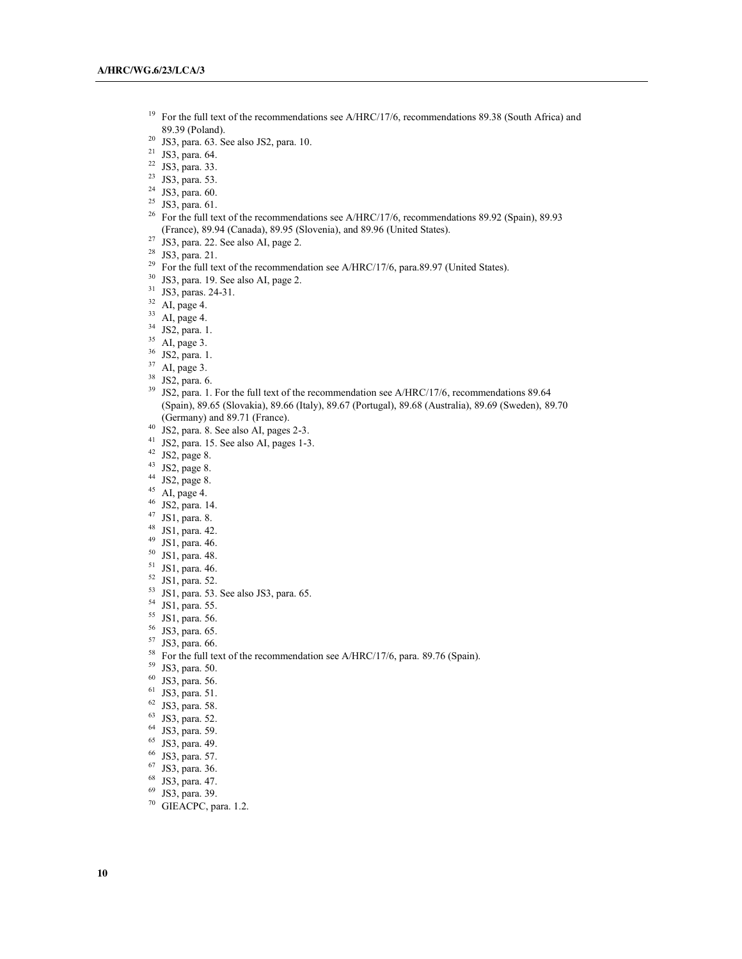- <sup>19</sup> For the full text of the recommendations see A/HRC/17/6, recommendations 89.38 (South Africa) and 89.39 (Poland). 20 JS3, para. 63. See also JS2, para. 10.
- 
- <sup>21</sup> JS3, para. 64.<br><sup>22</sup> JS3, para. 33.
- 
- $2^2$  JS3, para. 53.<br>  $2^2$  JS3, para. 60.
- 
- $25$  JS3, para. 61.
- <sup>26</sup> For the full text of the recommendations see A/HRC/17/6, recommendations 89.92 (Spain), 89.93 (France), 89.94 (Canada), 89.95 (Slovenia), and 89.96 (United States).
- <sup>27</sup> JS3, para. 22. See also AI, page 2.<br><sup>28</sup> JS3, para. 21.
- 
- <sup>29</sup> For the full text of the recommendation see A/HRC/17/6, para.89.97 (United States).
- $30$  JS3, para. 19. See also AI, page 2.<br> $31$  JS3, paras. 24-31.
- 
- 
- 
- 
- 
- 
- 
- 
- <sup>32</sup> AI, page 4.<br><sup>33</sup> AI, page 4.<br><sup>34</sup> JS2, para. 1.<br><sup>35</sup> AI, page 3.<br><sup>36</sup> JS2, para. 1.<br><sup>37</sup> AI, page 3.<br><sup>38</sup> JS2, para. 6.<br><sup>39</sup> JS2, para. 6. (Spain), 89.65 (Slovakia), 89.66 (Italy), 89.67 (Portugal), 89.68 (Australia), 89.69 (Sweden), 89.70 (Germany) and 89.71 (France).<br> $^{40}$  JS2, para. 8. See also AI, pages 2-3.<br> $^{41}$  JS2.
- 
- <sup>41</sup> JS2, para. 15. See also AI, pages 1-3.
- $42$  JS2, page 8.
- 
- $152, page 8.$ <br> $14$  JS2, page 8.
- 
- 45 AI, page 4.<br>
46 JS2, para. 14.<br>
47 JS1, para. 8.<br>
48 JS1, para. 42.
- 
- 
- <sup>49</sup> JS1, para. 46.
- <sup>50</sup> JS1, para. 48.
- 
- $\begin{bmatrix} 51 & \text{JS1}, \text{para. } 46. \\ 52 & \text{JS1}, \text{ para. } 52. \end{bmatrix}$
- 
- $^{53}$  JS1, para. 53. See also JS3, para. 65.<br><sup>54</sup> JS1, para. 55.
- 
- <sup>55</sup> JS1, para. 56.<br><sup>56</sup> JS3, para. 65.
- 
- <sup>57</sup> JS3, para. 66.
- <sup>58</sup> For the full text of the recommendation see A/HRC/17/6, para. 89.76 (Spain).
- <sup>59</sup> JS3, para. 50.
- $^{60}$  JS3, para. 56.<br><sup>61</sup> JS3, para. 51.
- 
- 
- 
- 
- 62 JS3, para. 58. 63 JS3, para. 52. 64 JS3, para. 59. 65 JS3, para. 49. 66 JS3, para. 57. 67 JS3 para. 36.
- 
- 
- $^{67}$  JS3, para. 36.<br> $^{68}$  JS3, para. 47.
- 
- $^{69}$  JS3, para. 39.<br><sup>70</sup> GIEACPC, para. 1.2.
-